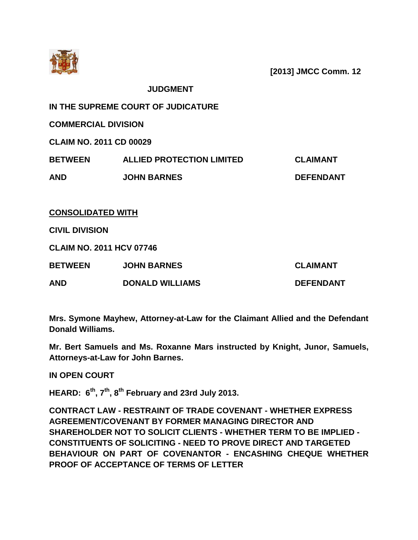

**[2013] JMCC Comm. 12**

**JUDGMENT**

**IN THE SUPREME COURT OF JUDICATURE**

**COMMERCIAL DIVISION**

**CLAIM NO. 2011 CD 00029**

| <b>BETWEEN</b> | <b>ALLIED PROTECTION LIMITED</b> | <b>CLAIMANT</b>  |
|----------------|----------------------------------|------------------|
| <b>AND</b>     | <b>JOHN BARNES</b>               | <b>DEFENDANT</b> |

**CONSOLIDATED WITH**

**CIVIL DIVISION**

**CLAIM NO. 2011 HCV 07746**

| <b>BETWEEN</b> | <b>JOHN BARNES</b>     | <b>CLAIMANT</b>  |
|----------------|------------------------|------------------|
| <b>AND</b>     | <b>DONALD WILLIAMS</b> | <b>DEFENDANT</b> |

**Mrs. Symone Mayhew, Attorney-at-Law for the Claimant Allied and the Defendant Donald Williams.**

**Mr. Bert Samuels and Ms. Roxanne Mars instructed by Knight, Junor, Samuels, Attorneys-at-Law for John Barnes.**

**IN OPEN COURT**

**HEARD: 6th, 7th, 8th February and 23rd July 2013.**

**CONTRACT LAW - RESTRAINT OF TRADE COVENANT - WHETHER EXPRESS AGREEMENT/COVENANT BY FORMER MANAGING DIRECTOR AND SHAREHOLDER NOT TO SOLICIT CLIENTS - WHETHER TERM TO BE IMPLIED - CONSTITUENTS OF SOLICITING - NEED TO PROVE DIRECT AND TARGETED BEHAVIOUR ON PART OF COVENANTOR - ENCASHING CHEQUE WHETHER PROOF OF ACCEPTANCE OF TERMS OF LETTER**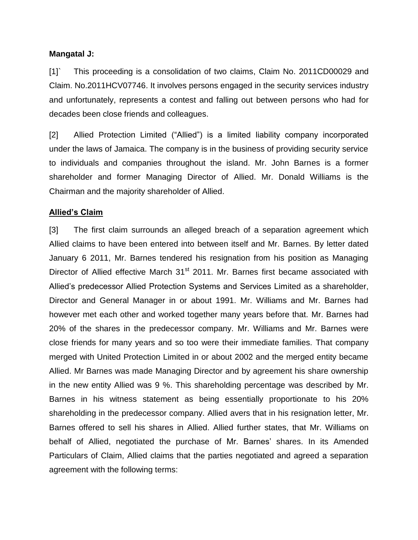#### **Mangatal J:**

[1]` This proceeding is a consolidation of two claims, Claim No. 2011CD00029 and Claim. No.2011HCV07746. It involves persons engaged in the security services industry and unfortunately, represents a contest and falling out between persons who had for decades been close friends and colleagues.

[2] Allied Protection Limited ("Allied") is a limited liability company incorporated under the laws of Jamaica. The company is in the business of providing security service to individuals and companies throughout the island. Mr. John Barnes is a former shareholder and former Managing Director of Allied. Mr. Donald Williams is the Chairman and the majority shareholder of Allied.

#### **Allied's Claim**

[3] The first claim surrounds an alleged breach of a separation agreement which Allied claims to have been entered into between itself and Mr. Barnes. By letter dated January 6 2011, Mr. Barnes tendered his resignation from his position as Managing Director of Allied effective March 31<sup>st</sup> 2011. Mr. Barnes first became associated with Allied's predecessor Allied Protection Systems and Services Limited as a shareholder, Director and General Manager in or about 1991. Mr. Williams and Mr. Barnes had however met each other and worked together many years before that. Mr. Barnes had 20% of the shares in the predecessor company. Mr. Williams and Mr. Barnes were close friends for many years and so too were their immediate families. That company merged with United Protection Limited in or about 2002 and the merged entity became Allied. Mr Barnes was made Managing Director and by agreement his share ownership in the new entity Allied was 9 %. This shareholding percentage was described by Mr. Barnes in his witness statement as being essentially proportionate to his 20% shareholding in the predecessor company. Allied avers that in his resignation letter, Mr. Barnes offered to sell his shares in Allied. Allied further states, that Mr. Williams on behalf of Allied, negotiated the purchase of Mr. Barnes' shares. In its Amended Particulars of Claim, Allied claims that the parties negotiated and agreed a separation agreement with the following terms: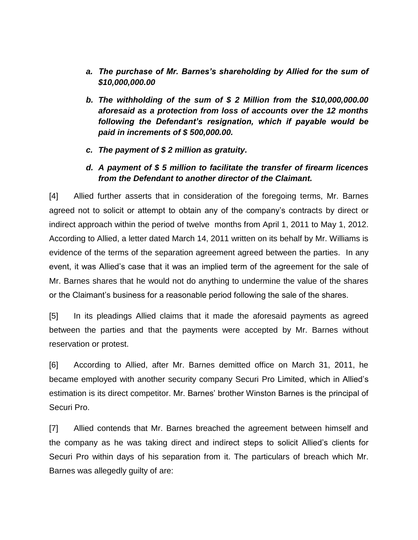- *a. The purchase of Mr. Barnes's shareholding by Allied for the sum of \$10,000,000.00*
- *b. The withholding of the sum of \$ 2 Million from the \$10,000,000.00 aforesaid as a protection from loss of accounts over the 12 months following the Defendant's resignation, which if payable would be paid in increments of \$ 500,000.00.*
- *c. The payment of \$ 2 million as gratuity.*
- *d. A payment of \$ 5 million to facilitate the transfer of firearm licences from the Defendant to another director of the Claimant.*

[4] Allied further asserts that in consideration of the foregoing terms, Mr. Barnes agreed not to solicit or attempt to obtain any of the company's contracts by direct or indirect approach within the period of twelve months from April 1, 2011 to May 1, 2012. According to Allied, a letter dated March 14, 2011 written on its behalf by Mr. Williams is evidence of the terms of the separation agreement agreed between the parties. In any event, it was Allied's case that it was an implied term of the agreement for the sale of Mr. Barnes shares that he would not do anything to undermine the value of the shares or the Claimant's business for a reasonable period following the sale of the shares.

[5] In its pleadings Allied claims that it made the aforesaid payments as agreed between the parties and that the payments were accepted by Mr. Barnes without reservation or protest.

[6] According to Allied, after Mr. Barnes demitted office on March 31, 2011, he became employed with another security company Securi Pro Limited, which in Allied's estimation is its direct competitor. Mr. Barnes' brother Winston Barnes is the principal of Securi Pro.

[7] Allied contends that Mr. Barnes breached the agreement between himself and the company as he was taking direct and indirect steps to solicit Allied's clients for Securi Pro within days of his separation from it. The particulars of breach which Mr. Barnes was allegedly guilty of are: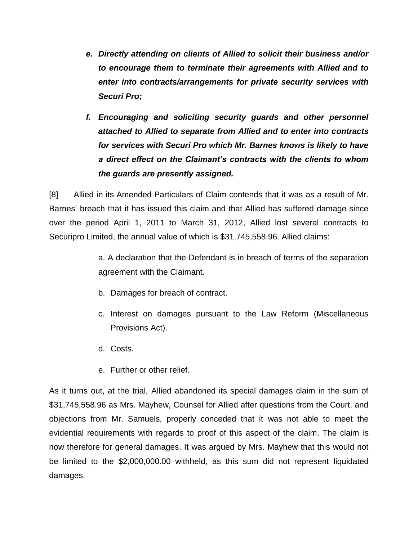- *e. Directly attending on clients of Allied to solicit their business and/or to encourage them to terminate their agreements with Allied and to enter into contracts/arrangements for private security services with Securi Pro;*
- *f. Encouraging and soliciting security guards and other personnel attached to Allied to separate from Allied and to enter into contracts for services with Securi Pro which Mr. Barnes knows is likely to have a direct effect on the Claimant's contracts with the clients to whom the guards are presently assigned.*

[8] Allied in its Amended Particulars of Claim contends that it was as a result of Mr. Barnes' breach that it has issued this claim and that Allied has suffered damage since over the period April 1, 2011 to March 31, 2012, Allied lost several contracts to Securipro Limited, the annual value of which is \$31,745,558.96. Allied claims:

> a. A declaration that the Defendant is in breach of terms of the separation agreement with the Claimant.

- b. Damages for breach of contract.
- c. Interest on damages pursuant to the Law Reform (Miscellaneous Provisions Act).
- d. Costs.
- e. Further or other relief.

As it turns out, at the trial, Allied abandoned its special damages claim in the sum of \$31,745,558.96 as Mrs. Mayhew, Counsel for Allied after questions from the Court, and objections from Mr. Samuels, properly conceded that it was not able to meet the evidential requirements with regards to proof of this aspect of the claim. The claim is now therefore for general damages. It was argued by Mrs. Mayhew that this would not be limited to the \$2,000,000.00 withheld, as this sum did not represent liquidated damages.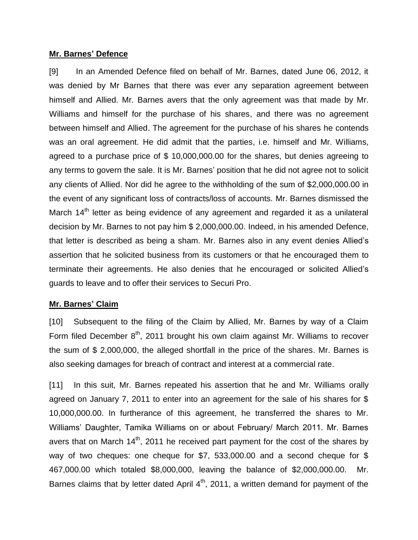#### **Mr. Barnes' Defence**

[9] In an Amended Defence filed on behalf of Mr. Barnes, dated June 06, 2012, it was denied by Mr Barnes that there was ever any separation agreement between himself and Allied. Mr. Barnes avers that the only agreement was that made by Mr. Williams and himself for the purchase of his shares, and there was no agreement between himself and Allied. The agreement for the purchase of his shares he contends was an oral agreement. He did admit that the parties, i.e. himself and Mr. Williams, agreed to a purchase price of \$ 10,000,000.00 for the shares, but denies agreeing to any terms to govern the sale. It is Mr. Barnes' position that he did not agree not to solicit any clients of Allied. Nor did he agree to the withholding of the sum of \$2,000,000.00 in the event of any significant loss of contracts/loss of accounts. Mr. Barnes dismissed the March 14<sup>th</sup> letter as being evidence of any agreement and regarded it as a unilateral decision by Mr. Barnes to not pay him \$ 2,000,000.00. Indeed, in his amended Defence, that letter is described as being a sham. Mr. Barnes also in any event denies Allied's assertion that he solicited business from its customers or that he encouraged them to terminate their agreements. He also denies that he encouraged or solicited Allied's guards to leave and to offer their services to Securi Pro.

#### **Mr. Barnes' Claim**

[10] Subsequent to the filing of the Claim by Allied, Mr. Barnes by way of a Claim Form filed December  $8<sup>th</sup>$ , 2011 brought his own claim against Mr. Williams to recover the sum of \$ 2,000,000, the alleged shortfall in the price of the shares. Mr. Barnes is also seeking damages for breach of contract and interest at a commercial rate.

[11] In this suit, Mr. Barnes repeated his assertion that he and Mr. Williams orally agreed on January 7, 2011 to enter into an agreement for the sale of his shares for \$ 10,000,000.00. In furtherance of this agreement, he transferred the shares to Mr. Williams' Daughter, Tamika Williams on or about February/ March 2011. Mr. Barnes avers that on March  $14<sup>th</sup>$ , 2011 he received part payment for the cost of the shares by way of two cheques: one cheque for \$7, 533,000.00 and a second cheque for \$ 467,000.00 which totaled \$8,000,000, leaving the balance of \$2,000,000.00. Barnes claims that by letter dated April  $4<sup>th</sup>$ , 2011, a written demand for payment of the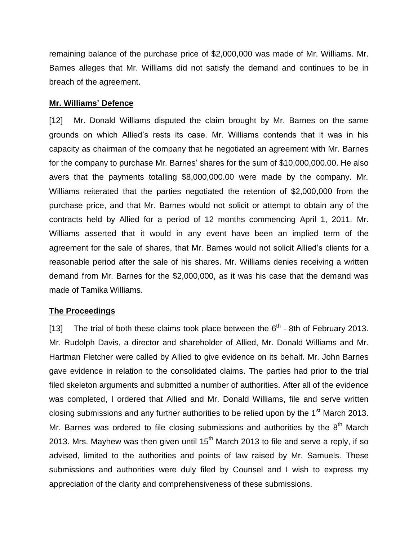remaining balance of the purchase price of \$2,000,000 was made of Mr. Williams. Mr. Barnes alleges that Mr. Williams did not satisfy the demand and continues to be in breach of the agreement.

#### **Mr. Williams' Defence**

[12] Mr. Donald Williams disputed the claim brought by Mr. Barnes on the same grounds on which Allied's rests its case. Mr. Williams contends that it was in his capacity as chairman of the company that he negotiated an agreement with Mr. Barnes for the company to purchase Mr. Barnes' shares for the sum of \$10,000,000.00. He also avers that the payments totalling \$8,000,000.00 were made by the company. Mr. Williams reiterated that the parties negotiated the retention of \$2,000,000 from the purchase price, and that Mr. Barnes would not solicit or attempt to obtain any of the contracts held by Allied for a period of 12 months commencing April 1, 2011. Mr. Williams asserted that it would in any event have been an implied term of the agreement for the sale of shares, that Mr. Barnes would not solicit Allied's clients for a reasonable period after the sale of his shares. Mr. Williams denies receiving a written demand from Mr. Barnes for the \$2,000,000, as it was his case that the demand was made of Tamika Williams.

### **The Proceedings**

[13] The trial of both these claims took place between the  $6<sup>th</sup>$  - 8th of February 2013. Mr. Rudolph Davis, a director and shareholder of Allied, Mr. Donald Williams and Mr. Hartman Fletcher were called by Allied to give evidence on its behalf. Mr. John Barnes gave evidence in relation to the consolidated claims. The parties had prior to the trial filed skeleton arguments and submitted a number of authorities. After all of the evidence was completed, I ordered that Allied and Mr. Donald Williams, file and serve written closing submissions and any further authorities to be relied upon by the 1<sup>st</sup> March 2013. Mr. Barnes was ordered to file closing submissions and authorities by the  $8<sup>th</sup>$  March 2013. Mrs. Mayhew was then given until  $15<sup>th</sup>$  March 2013 to file and serve a reply, if so advised, limited to the authorities and points of law raised by Mr. Samuels. These submissions and authorities were duly filed by Counsel and I wish to express my appreciation of the clarity and comprehensiveness of these submissions.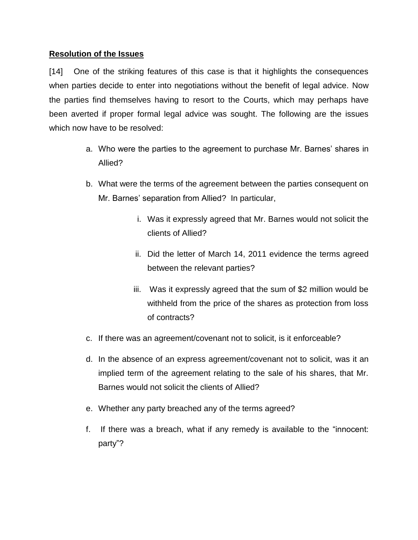### **Resolution of the Issues**

[14] One of the striking features of this case is that it highlights the consequences when parties decide to enter into negotiations without the benefit of legal advice. Now the parties find themselves having to resort to the Courts, which may perhaps have been averted if proper formal legal advice was sought. The following are the issues which now have to be resolved:

- a. Who were the parties to the agreement to purchase Mr. Barnes' shares in Allied?
- b. What were the terms of the agreement between the parties consequent on Mr. Barnes' separation from Allied? In particular,
	- i. Was it expressly agreed that Mr. Barnes would not solicit the clients of Allied?
	- ii. Did the letter of March 14, 2011 evidence the terms agreed between the relevant parties?
	- iii. Was it expressly agreed that the sum of \$2 million would be withheld from the price of the shares as protection from loss of contracts?
- c. If there was an agreement/covenant not to solicit, is it enforceable?
- d. In the absence of an express agreement/covenant not to solicit, was it an implied term of the agreement relating to the sale of his shares, that Mr. Barnes would not solicit the clients of Allied?
- e. Whether any party breached any of the terms agreed?
- f. If there was a breach, what if any remedy is available to the "innocent: party"?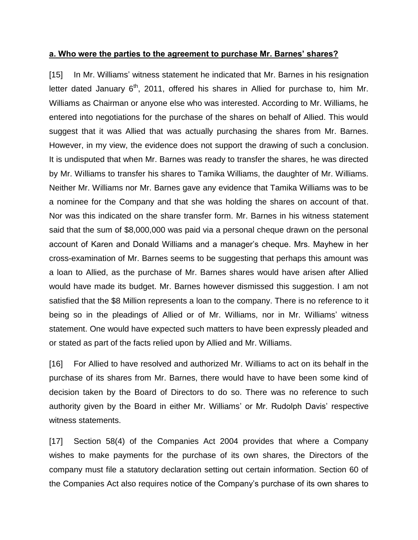#### **a. Who were the parties to the agreement to purchase Mr. Barnes' shares?**

[15] In Mr. Williams' witness statement he indicated that Mr. Barnes in his resignation letter dated January  $6<sup>th</sup>$ , 2011, offered his shares in Allied for purchase to, him Mr. Williams as Chairman or anyone else who was interested. According to Mr. Williams, he entered into negotiations for the purchase of the shares on behalf of Allied. This would suggest that it was Allied that was actually purchasing the shares from Mr. Barnes. However, in my view, the evidence does not support the drawing of such a conclusion. It is undisputed that when Mr. Barnes was ready to transfer the shares, he was directed by Mr. Williams to transfer his shares to Tamika Williams, the daughter of Mr. Williams. Neither Mr. Williams nor Mr. Barnes gave any evidence that Tamika Williams was to be a nominee for the Company and that she was holding the shares on account of that. Nor was this indicated on the share transfer form. Mr. Barnes in his witness statement said that the sum of \$8,000,000 was paid via a personal cheque drawn on the personal account of Karen and Donald Williams and a manager's cheque. Mrs. Mayhew in her cross-examination of Mr. Barnes seems to be suggesting that perhaps this amount was a loan to Allied, as the purchase of Mr. Barnes shares would have arisen after Allied would have made its budget. Mr. Barnes however dismissed this suggestion. I am not satisfied that the \$8 Million represents a loan to the company. There is no reference to it being so in the pleadings of Allied or of Mr. Williams, nor in Mr. Williams' witness statement. One would have expected such matters to have been expressly pleaded and or stated as part of the facts relied upon by Allied and Mr. Williams.

[16] For Allied to have resolved and authorized Mr. Williams to act on its behalf in the purchase of its shares from Mr. Barnes, there would have to have been some kind of decision taken by the Board of Directors to do so. There was no reference to such authority given by the Board in either Mr. Williams' or Mr. Rudolph Davis' respective witness statements.

[17] Section 58(4) of the Companies Act 2004 provides that where a Company wishes to make payments for the purchase of its own shares, the Directors of the company must file a statutory declaration setting out certain information. Section 60 of the Companies Act also requires notice of the Company's purchase of its own shares to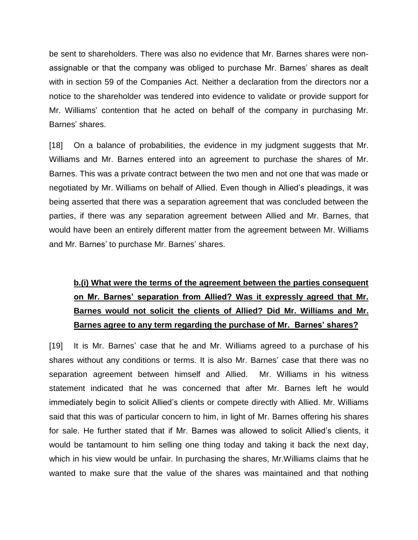be sent to shareholders. There was also no evidence that Mr. Barnes shares were nonassignable or that the company was obliged to purchase Mr. Barnes' shares as dealt with in section 59 of the Companies Act. Neither a declaration from the directors nor a notice to the shareholder was tendered into evidence to validate or provide support for Mr. Williams' contention that he acted on behalf of the company in purchasing Mr. Barnes' shares.

[18] On a balance of probabilities, the evidence in my judgment suggests that Mr. Williams and Mr. Barnes entered into an agreement to purchase the shares of Mr. Barnes. This was a private contract between the two men and not one that was made or negotiated by Mr. Williams on behalf of Allied. Even though in Allied's pleadings, it was being asserted that there was a separation agreement that was concluded between the parties, if there was any separation agreement between Allied and Mr. Barnes, that would have been an entirely different matter from the agreement between Mr. Williams and Mr. Barnes' to purchase Mr. Barnes' shares.

# **b.(i) What were the terms of the agreement between the parties consequent on Mr. Barnes' separation from Allied? Was it expressly agreed that Mr. Barnes would not solicit the clients of Allied? Did Mr. Williams and Mr. Barnes agree to any term regarding the purchase of Mr. Barnes' shares?**

[19] It is Mr. Barnes' case that he and Mr. Williams agreed to a purchase of his shares without any conditions or terms. It is also Mr. Barnes' case that there was no separation agreement between himself and Allied. Mr. Williams in his witness statement indicated that he was concerned that after Mr. Barnes left he would immediately begin to solicit Allied's clients or compete directly with Allied. Mr. Williams said that this was of particular concern to him, in light of Mr. Barnes offering his shares for sale. He further stated that if Mr. Barnes was allowed to solicit Allied's clients, it would be tantamount to him selling one thing today and taking it back the next day, which in his view would be unfair. In purchasing the shares, Mr.Williams claims that he wanted to make sure that the value of the shares was maintained and that nothing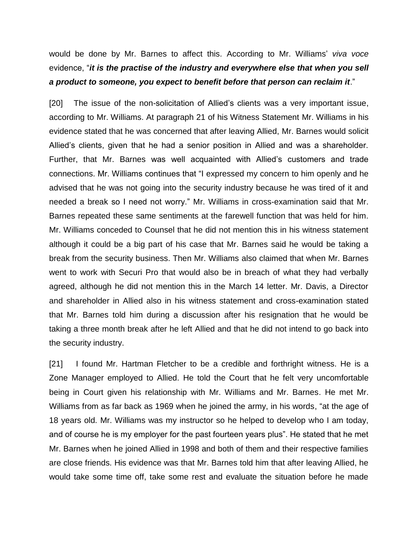would be done by Mr. Barnes to affect this. According to Mr. Williams' *viva voce* evidence, "*it is the practise of the industry and everywhere else that when you sell a product to someone, you expect to benefit before that person can reclaim it*."

[20] The issue of the non-solicitation of Allied's clients was a very important issue, according to Mr. Williams. At paragraph 21 of his Witness Statement Mr. Williams in his evidence stated that he was concerned that after leaving Allied, Mr. Barnes would solicit Allied's clients, given that he had a senior position in Allied and was a shareholder. Further, that Mr. Barnes was well acquainted with Allied's customers and trade connections. Mr. Williams continues that "I expressed my concern to him openly and he advised that he was not going into the security industry because he was tired of it and needed a break so I need not worry." Mr. Williams in cross-examination said that Mr. Barnes repeated these same sentiments at the farewell function that was held for him. Mr. Williams conceded to Counsel that he did not mention this in his witness statement although it could be a big part of his case that Mr. Barnes said he would be taking a break from the security business. Then Mr. Williams also claimed that when Mr. Barnes went to work with Securi Pro that would also be in breach of what they had verbally agreed, although he did not mention this in the March 14 letter. Mr. Davis, a Director and shareholder in Allied also in his witness statement and cross-examination stated that Mr. Barnes told him during a discussion after his resignation that he would be taking a three month break after he left Allied and that he did not intend to go back into the security industry.

[21] I found Mr. Hartman Fletcher to be a credible and forthright witness. He is a Zone Manager employed to Allied. He told the Court that he felt very uncomfortable being in Court given his relationship with Mr. Williams and Mr. Barnes. He met Mr. Williams from as far back as 1969 when he joined the army, in his words, "at the age of 18 years old. Mr. Williams was my instructor so he helped to develop who I am today, and of course he is my employer for the past fourteen years plus". He stated that he met Mr. Barnes when he joined Allied in 1998 and both of them and their respective families are close friends. His evidence was that Mr. Barnes told him that after leaving Allied, he would take some time off, take some rest and evaluate the situation before he made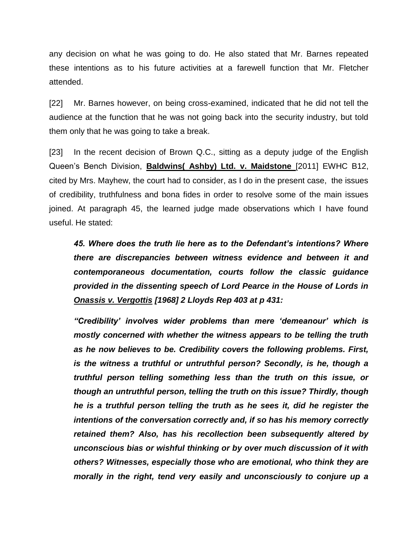any decision on what he was going to do. He also stated that Mr. Barnes repeated these intentions as to his future activities at a farewell function that Mr. Fletcher attended.

[22] Mr. Barnes however, on being cross-examined, indicated that he did not tell the audience at the function that he was not going back into the security industry, but told them only that he was going to take a break.

[23] In the recent decision of Brown Q.C., sitting as a deputy judge of the English Queen's Bench Division, **Baldwins( Ashby) Ltd. v. Maidstone** [2011] EWHC B12, cited by Mrs. Mayhew, the court had to consider, as I do in the present case, the issues of credibility, truthfulness and bona fides in order to resolve some of the main issues joined. At paragraph 45, the learned judge made observations which I have found useful. He stated:

*45. Where does the truth lie here as to the Defendant's intentions? Where there are discrepancies between witness evidence and between it and contemporaneous documentation, courts follow the classic guidance provided in the dissenting speech of Lord Pearce in the House of Lords in Onassis v. Vergottis [1968] 2 Lloyds Rep 403 at p 431:*

*"Credibility' involves wider problems than mere 'demeanour' which is mostly concerned with whether the witness appears to be telling the truth as he now believes to be. Credibility covers the following problems. First, is the witness a truthful or untruthful person? Secondly, is he, though a truthful person telling something less than the truth on this issue, or though an untruthful person, telling the truth on this issue? Thirdly, though he is a truthful person telling the truth as he sees it, did he register the intentions of the conversation correctly and, if so has his memory correctly retained them? Also, has his recollection been subsequently altered by unconscious bias or wishful thinking or by over much discussion of it with others? Witnesses, especially those who are emotional, who think they are morally in the right, tend very easily and unconsciously to conjure up a*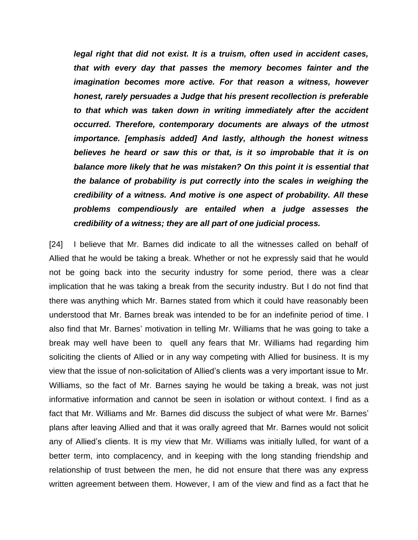*legal right that did not exist. It is a truism, often used in accident cases, that with every day that passes the memory becomes fainter and the imagination becomes more active. For that reason a witness, however honest, rarely persuades a Judge that his present recollection is preferable to that which was taken down in writing immediately after the accident occurred. Therefore, contemporary documents are always of the utmost importance. [emphasis added] And lastly, although the honest witness believes he heard or saw this or that, is it so improbable that it is on balance more likely that he was mistaken? On this point it is essential that the balance of probability is put correctly into the scales in weighing the credibility of a witness. And motive is one aspect of probability. All these problems compendiously are entailed when a judge assesses the credibility of a witness; they are all part of one judicial process.* 

[24] I believe that Mr. Barnes did indicate to all the witnesses called on behalf of Allied that he would be taking a break. Whether or not he expressly said that he would not be going back into the security industry for some period, there was a clear implication that he was taking a break from the security industry. But I do not find that there was anything which Mr. Barnes stated from which it could have reasonably been understood that Mr. Barnes break was intended to be for an indefinite period of time. I also find that Mr. Barnes' motivation in telling Mr. Williams that he was going to take a break may well have been to quell any fears that Mr. Williams had regarding him soliciting the clients of Allied or in any way competing with Allied for business. It is my view that the issue of non-solicitation of Allied's clients was a very important issue to Mr. Williams, so the fact of Mr. Barnes saying he would be taking a break, was not just informative information and cannot be seen in isolation or without context. I find as a fact that Mr. Williams and Mr. Barnes did discuss the subject of what were Mr. Barnes' plans after leaving Allied and that it was orally agreed that Mr. Barnes would not solicit any of Allied's clients. It is my view that Mr. Williams was initially lulled, for want of a better term, into complacency, and in keeping with the long standing friendship and relationship of trust between the men, he did not ensure that there was any express written agreement between them. However, I am of the view and find as a fact that he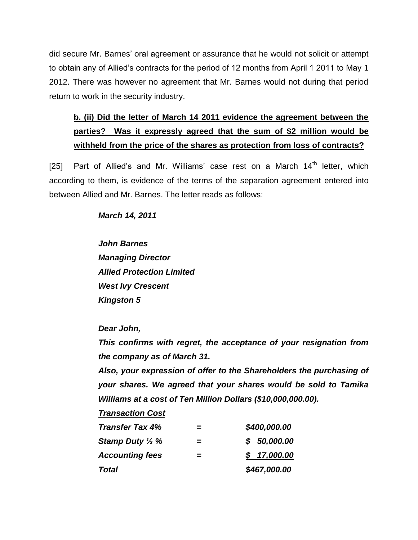did secure Mr. Barnes' oral agreement or assurance that he would not solicit or attempt to obtain any of Allied's contracts for the period of 12 months from April 1 2011 to May 1 2012. There was however no agreement that Mr. Barnes would not during that period return to work in the security industry.

# **b. (ii) Did the letter of March 14 2011 evidence the agreement between the parties? Was it expressly agreed that the sum of \$2 million would be withheld from the price of the shares as protection from loss of contracts?**

[25] Part of Allied's and Mr. Williams' case rest on a March  $14<sup>th</sup>$  letter, which according to them, is evidence of the terms of the separation agreement entered into between Allied and Mr. Barnes. The letter reads as follows:

*March 14, 2011*

*John Barnes Managing Director Allied Protection Limited West Ivy Crescent Kingston 5*

*Dear John,*

*This confirms with regret, the acceptance of your resignation from the company as of March 31.*

*Also, your expression of offer to the Shareholders the purchasing of your shares. We agreed that your shares would be sold to Tamika Williams at a cost of Ten Million Dollars (\$10,000,000.00).* 

*Transaction Cost*

| <b>Transfer Tax 4%</b>     | = | \$400,000.00 |
|----------------------------|---|--------------|
| Stamp Duty $\frac{1}{2}$ % | = | \$50,000.00  |
| <b>Accounting fees</b>     | = | \$17,000.00  |
| <b>Total</b>               |   | \$467,000.00 |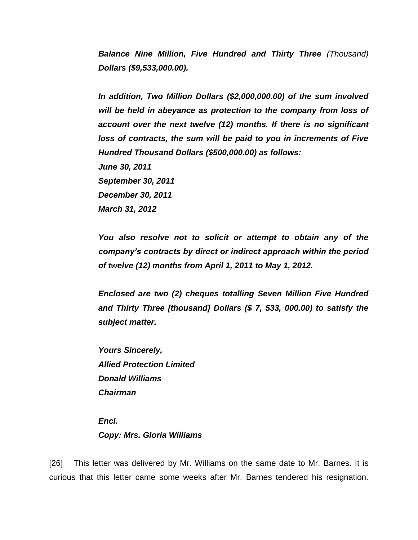*Balance Nine Million, Five Hundred and Thirty Three (Thousand) Dollars (\$9,533,000.00).*

*In addition, Two Million Dollars (\$2,000,000.00) of the sum involved will be held in abeyance as protection to the company from loss of account over the next twelve (12) months. If there is no significant loss of contracts, the sum will be paid to you in increments of Five Hundred Thousand Dollars (\$500,000.00) as follows: June 30, 2011 September 30, 2011 December 30, 2011 March 31, 2012*

*You also resolve not to solicit or attempt to obtain any of the company's contracts by direct or indirect approach within the period of twelve (12) months from April 1, 2011 to May 1, 2012.* 

*Enclosed are two (2) cheques totalling Seven Million Five Hundred and Thirty Three [thousand] Dollars (\$ 7, 533, 000.00) to satisfy the subject matter.*

*Yours Sincerely, Allied Protection Limited Donald Williams Chairman*

*Encl. Copy: Mrs. Gloria Williams*

[26] This letter was delivered by Mr. Williams on the same date to Mr. Barnes. It is curious that this letter came some weeks after Mr. Barnes tendered his resignation.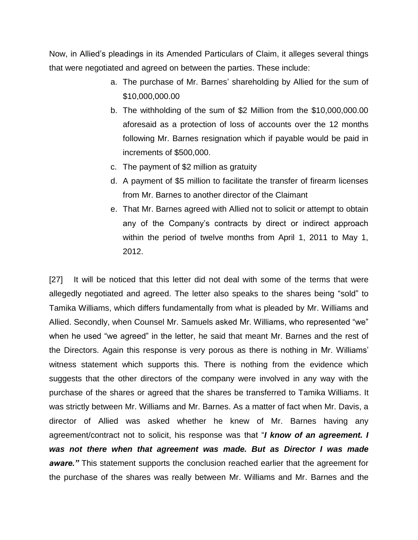Now, in Allied's pleadings in its Amended Particulars of Claim, it alleges several things that were negotiated and agreed on between the parties. These include:

- a. The purchase of Mr. Barnes' shareholding by Allied for the sum of \$10,000,000.00
- b. The withholding of the sum of \$2 Million from the \$10,000,000.00 aforesaid as a protection of loss of accounts over the 12 months following Mr. Barnes resignation which if payable would be paid in increments of \$500,000.
- c. The payment of \$2 million as gratuity
- d. A payment of \$5 million to facilitate the transfer of firearm licenses from Mr. Barnes to another director of the Claimant
- e. That Mr. Barnes agreed with Allied not to solicit or attempt to obtain any of the Company's contracts by direct or indirect approach within the period of twelve months from April 1, 2011 to May 1, 2012.

[27] It will be noticed that this letter did not deal with some of the terms that were allegedly negotiated and agreed. The letter also speaks to the shares being "sold" to Tamika Williams, which differs fundamentally from what is pleaded by Mr. Williams and Allied. Secondly, when Counsel Mr. Samuels asked Mr. Williams, who represented "we" when he used "we agreed" in the letter, he said that meant Mr. Barnes and the rest of the Directors. Again this response is very porous as there is nothing in Mr. Williams' witness statement which supports this. There is nothing from the evidence which suggests that the other directors of the company were involved in any way with the purchase of the shares or agreed that the shares be transferred to Tamika Williams. It was strictly between Mr. Williams and Mr. Barnes. As a matter of fact when Mr. Davis, a director of Allied was asked whether he knew of Mr. Barnes having any agreement/contract not to solicit, his response was that "*I know of an agreement. I was not there when that agreement was made. But as Director I was made aware.*" This statement supports the conclusion reached earlier that the agreement for the purchase of the shares was really between Mr. Williams and Mr. Barnes and the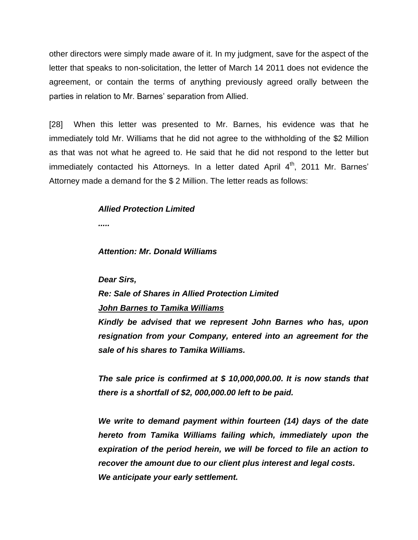other directors were simply made aware of it. In my judgment, save for the aspect of the letter that speaks to non-solicitation, the letter of March 14 2011 does not evidence the agreement, or contain the terms of anything previously agreed orally between the parties in relation to Mr. Barnes' separation from Allied.

[28] When this letter was presented to Mr. Barnes, his evidence was that he immediately told Mr. Williams that he did not agree to the withholding of the \$2 Million as that was not what he agreed to. He said that he did not respond to the letter but immediately contacted his Attorneys. In a letter dated April  $4<sup>th</sup>$ , 2011 Mr. Barnes' Attorney made a demand for the \$ 2 Million. The letter reads as follows:

#### *Allied Protection Limited*

*.....*

#### *Attention: Mr. Donald Williams*

*Dear Sirs,*

*Re: Sale of Shares in Allied Protection Limited*

#### *John Barnes to Tamika Williams*

*Kindly be advised that we represent John Barnes who has, upon resignation from your Company, entered into an agreement for the sale of his shares to Tamika Williams.*

*The sale price is confirmed at \$ 10,000,000.00. It is now stands that there is a shortfall of \$2, 000,000.00 left to be paid.*

*We write to demand payment within fourteen (14) days of the date hereto from Tamika Williams failing which, immediately upon the expiration of the period herein, we will be forced to file an action to recover the amount due to our client plus interest and legal costs. We anticipate your early settlement.*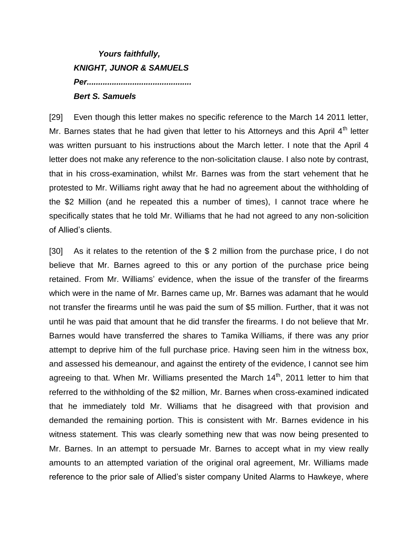# *Yours faithfully, KNIGHT, JUNOR & SAMUELS Per.............................................. Bert S. Samuels*

[29] Even though this letter makes no specific reference to the March 14 2011 letter, Mr. Barnes states that he had given that letter to his Attorneys and this April  $4<sup>th</sup>$  letter was written pursuant to his instructions about the March letter. I note that the April 4 letter does not make any reference to the non-solicitation clause. I also note by contrast, that in his cross-examination, whilst Mr. Barnes was from the start vehement that he protested to Mr. Williams right away that he had no agreement about the withholding of the \$2 Million (and he repeated this a number of times), I cannot trace where he specifically states that he told Mr. Williams that he had not agreed to any non-solicition of Allied's clients.

[30] As it relates to the retention of the \$ 2 million from the purchase price, I do not believe that Mr. Barnes agreed to this or any portion of the purchase price being retained. From Mr. Williams' evidence, when the issue of the transfer of the firearms which were in the name of Mr. Barnes came up, Mr. Barnes was adamant that he would not transfer the firearms until he was paid the sum of \$5 million. Further, that it was not until he was paid that amount that he did transfer the firearms. I do not believe that Mr. Barnes would have transferred the shares to Tamika Williams, if there was any prior attempt to deprive him of the full purchase price. Having seen him in the witness box, and assessed his demeanour, and against the entirety of the evidence, I cannot see him agreeing to that. When Mr. Williams presented the March  $14<sup>th</sup>$ , 2011 letter to him that referred to the withholding of the \$2 million, Mr. Barnes when cross-examined indicated that he immediately told Mr. Williams that he disagreed with that provision and demanded the remaining portion. This is consistent with Mr. Barnes evidence in his witness statement. This was clearly something new that was now being presented to Mr. Barnes. In an attempt to persuade Mr. Barnes to accept what in my view really amounts to an attempted variation of the original oral agreement, Mr. Williams made reference to the prior sale of Allied's sister company United Alarms to Hawkeye, where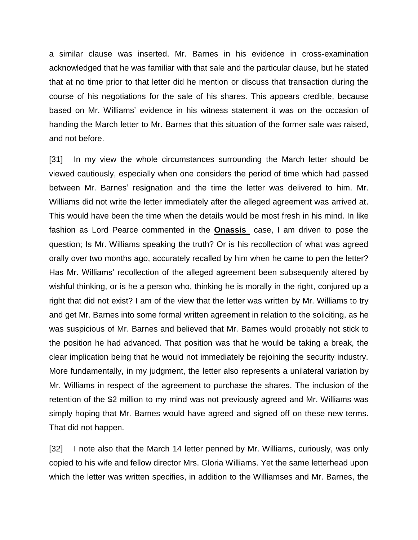a similar clause was inserted. Mr. Barnes in his evidence in cross-examination acknowledged that he was familiar with that sale and the particular clause, but he stated that at no time prior to that letter did he mention or discuss that transaction during the course of his negotiations for the sale of his shares. This appears credible, because based on Mr. Williams' evidence in his witness statement it was on the occasion of handing the March letter to Mr. Barnes that this situation of the former sale was raised, and not before.

[31] In my view the whole circumstances surrounding the March letter should be viewed cautiously, especially when one considers the period of time which had passed between Mr. Barnes' resignation and the time the letter was delivered to him. Mr. Williams did not write the letter immediately after the alleged agreement was arrived at. This would have been the time when the details would be most fresh in his mind. In like fashion as Lord Pearce commented in the **Onassis** case, I am driven to pose the question; Is Mr. Williams speaking the truth? Or is his recollection of what was agreed orally over two months ago, accurately recalled by him when he came to pen the letter? Has Mr. Williams' recollection of the alleged agreement been subsequently altered by wishful thinking, or is he a person who, thinking he is morally in the right, conjured up a right that did not exist? I am of the view that the letter was written by Mr. Williams to try and get Mr. Barnes into some formal written agreement in relation to the soliciting, as he was suspicious of Mr. Barnes and believed that Mr. Barnes would probably not stick to the position he had advanced. That position was that he would be taking a break, the clear implication being that he would not immediately be rejoining the security industry. More fundamentally, in my judgment, the letter also represents a unilateral variation by Mr. Williams in respect of the agreement to purchase the shares. The inclusion of the retention of the \$2 million to my mind was not previously agreed and Mr. Williams was simply hoping that Mr. Barnes would have agreed and signed off on these new terms. That did not happen.

[32] I note also that the March 14 letter penned by Mr. Williams, curiously, was only copied to his wife and fellow director Mrs. Gloria Williams. Yet the same letterhead upon which the letter was written specifies, in addition to the Williamses and Mr. Barnes, the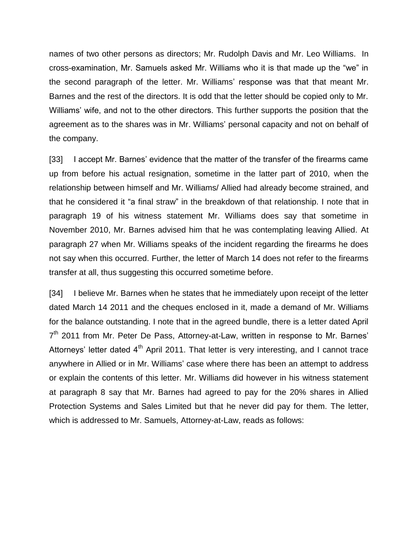names of two other persons as directors; Mr. Rudolph Davis and Mr. Leo Williams. In cross-examination, Mr. Samuels asked Mr. Williams who it is that made up the "we" in the second paragraph of the letter. Mr. Williams' response was that that meant Mr. Barnes and the rest of the directors. It is odd that the letter should be copied only to Mr. Williams' wife, and not to the other directors. This further supports the position that the agreement as to the shares was in Mr. Williams' personal capacity and not on behalf of the company.

[33] I accept Mr. Barnes' evidence that the matter of the transfer of the firearms came up from before his actual resignation, sometime in the latter part of 2010, when the relationship between himself and Mr. Williams/ Allied had already become strained, and that he considered it "a final straw" in the breakdown of that relationship. I note that in paragraph 19 of his witness statement Mr. Williams does say that sometime in November 2010, Mr. Barnes advised him that he was contemplating leaving Allied. At paragraph 27 when Mr. Williams speaks of the incident regarding the firearms he does not say when this occurred. Further, the letter of March 14 does not refer to the firearms transfer at all, thus suggesting this occurred sometime before.

[34] I believe Mr. Barnes when he states that he immediately upon receipt of the letter dated March 14 2011 and the cheques enclosed in it, made a demand of Mr. Williams for the balance outstanding. I note that in the agreed bundle, there is a letter dated April 7<sup>th</sup> 2011 from Mr. Peter De Pass, Attorney-at-Law, written in response to Mr. Barnes' Attorneys' letter dated 4<sup>th</sup> April 2011. That letter is very interesting, and I cannot trace anywhere in Allied or in Mr. Williams' case where there has been an attempt to address or explain the contents of this letter. Mr. Williams did however in his witness statement at paragraph 8 say that Mr. Barnes had agreed to pay for the 20% shares in Allied Protection Systems and Sales Limited but that he never did pay for them. The letter, which is addressed to Mr. Samuels, Attorney-at-Law, reads as follows: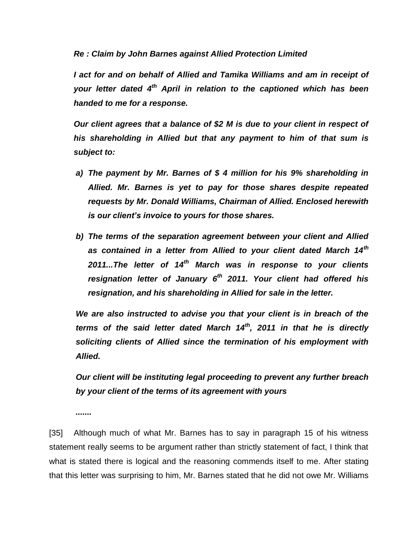*Re : Claim by John Barnes against Allied Protection Limited*

*I act for and on behalf of Allied and Tamika Williams and am in receipt of your letter dated 4th April in relation to the captioned which has been handed to me for a response.*

*Our client agrees that a balance of \$2 M is due to your client in respect of his shareholding in Allied but that any payment to him of that sum is subject to:* 

- *a) The payment by Mr. Barnes of \$ 4 million for his 9% shareholding in Allied. Mr. Barnes is yet to pay for those shares despite repeated requests by Mr. Donald Williams, Chairman of Allied. Enclosed herewith is our client's invoice to yours for those shares.*
- *b) The terms of the separation agreement between your client and Allied as contained in a letter from Allied to your client dated March 14th 2011...The letter of 14th March was in response to your clients resignation letter of January 6 th 2011. Your client had offered his resignation, and his shareholding in Allied for sale in the letter.*

*We are also instructed to advise you that your client is in breach of the terms of the said letter dated March 14th, 2011 in that he is directly soliciting clients of Allied since the termination of his employment with Allied.*

*Our client will be instituting legal proceeding to prevent any further breach by your client of the terms of its agreement with yours*

*.......*

[35] Although much of what Mr. Barnes has to say in paragraph 15 of his witness statement really seems to be argument rather than strictly statement of fact, I think that what is stated there is logical and the reasoning commends itself to me. After stating that this letter was surprising to him, Mr. Barnes stated that he did not owe Mr. Williams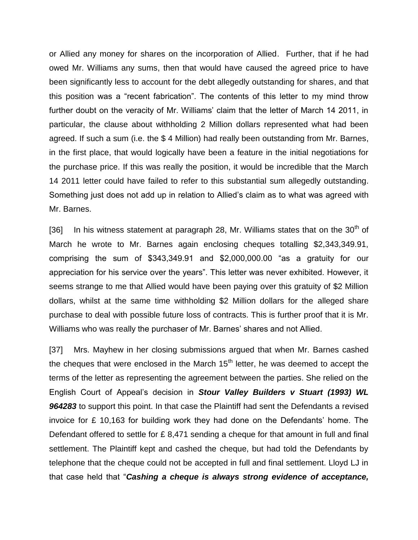or Allied any money for shares on the incorporation of Allied. Further, that if he had owed Mr. Williams any sums, then that would have caused the agreed price to have been significantly less to account for the debt allegedly outstanding for shares, and that this position was a "recent fabrication". The contents of this letter to my mind throw further doubt on the veracity of Mr. Williams' claim that the letter of March 14 2011, in particular, the clause about withholding 2 Million dollars represented what had been agreed. If such a sum (i.e. the \$ 4 Million) had really been outstanding from Mr. Barnes, in the first place, that would logically have been a feature in the initial negotiations for the purchase price. If this was really the position, it would be incredible that the March 14 2011 letter could have failed to refer to this substantial sum allegedly outstanding. Something just does not add up in relation to Allied's claim as to what was agreed with Mr. Barnes.

[36] In his witness statement at paragraph 28, Mr. Williams states that on the  $30<sup>th</sup>$  of March he wrote to Mr. Barnes again enclosing cheques totalling \$2,343,349.91, comprising the sum of \$343,349.91 and \$2,000,000.00 "as a gratuity for our appreciation for his service over the years". This letter was never exhibited. However, it seems strange to me that Allied would have been paying over this gratuity of \$2 Million dollars, whilst at the same time withholding \$2 Million dollars for the alleged share purchase to deal with possible future loss of contracts. This is further proof that it is Mr. Williams who was really the purchaser of Mr. Barnes' shares and not Allied.

[37] Mrs. Mayhew in her closing submissions argued that when Mr. Barnes cashed the cheques that were enclosed in the March  $15<sup>th</sup>$  letter, he was deemed to accept the terms of the letter as representing the agreement between the parties. She relied on the English Court of Appeal's decision in *Stour Valley Builders v Stuart (1993) WL 964283* to support this point. In that case the Plaintiff had sent the Defendants a revised invoice for £ 10,163 for building work they had done on the Defendants' home. The Defendant offered to settle for £ 8,471 sending a cheque for that amount in full and final settlement. The Plaintiff kept and cashed the cheque, but had told the Defendants by telephone that the cheque could not be accepted in full and final settlement. Lloyd LJ in that case held that "*Cashing a cheque is always strong evidence of acceptance,*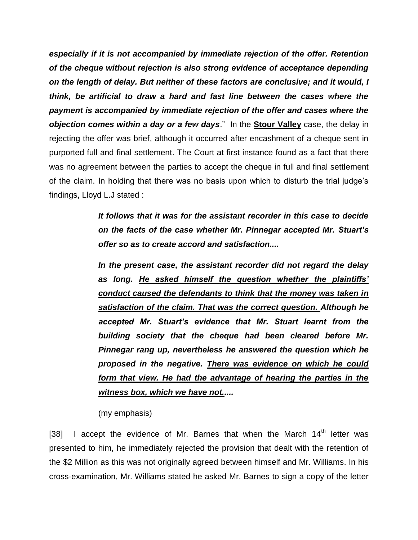*especially if it is not accompanied by immediate rejection of the offer. Retention of the cheque without rejection is also strong evidence of acceptance depending on the length of delay. But neither of these factors are conclusive; and it would, I think, be artificial to draw a hard and fast line between the cases where the payment is accompanied by immediate rejection of the offer and cases where the objection comes within a day or a few days*." In the **Stour Valley** case, the delay in rejecting the offer was brief, although it occurred after encashment of a cheque sent in purported full and final settlement. The Court at first instance found as a fact that there was no agreement between the parties to accept the cheque in full and final settlement of the claim. In holding that there was no basis upon which to disturb the trial judge's findings, Lloyd L.J stated :

> *It follows that it was for the assistant recorder in this case to decide on the facts of the case whether Mr. Pinnegar accepted Mr. Stuart's offer so as to create accord and satisfaction....*

> *In the present case, the assistant recorder did not regard the delay as long. He asked himself the question whether the plaintiffs' conduct caused the defendants to think that the money was taken in satisfaction of the claim. That was the correct question. Although he accepted Mr. Stuart's evidence that Mr. Stuart learnt from the building society that the cheque had been cleared before Mr. Pinnegar rang up, nevertheless he answered the question which he proposed in the negative. There was evidence on which he could form that view. He had the advantage of hearing the parties in the witness box, which we have not.....*

(my emphasis)

[38] I accept the evidence of Mr. Barnes that when the March  $14<sup>th</sup>$  letter was presented to him, he immediately rejected the provision that dealt with the retention of the \$2 Million as this was not originally agreed between himself and Mr. Williams. In his cross-examination, Mr. Williams stated he asked Mr. Barnes to sign a copy of the letter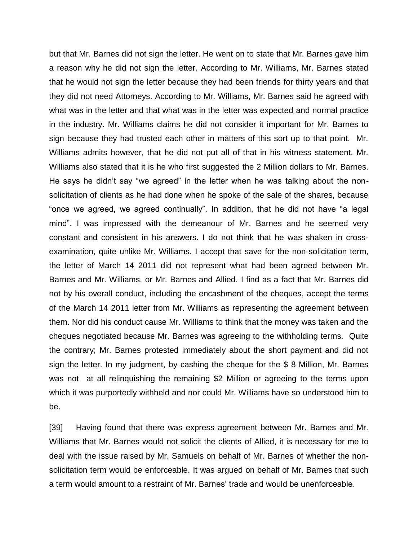but that Mr. Barnes did not sign the letter. He went on to state that Mr. Barnes gave him a reason why he did not sign the letter. According to Mr. Williams, Mr. Barnes stated that he would not sign the letter because they had been friends for thirty years and that they did not need Attorneys. According to Mr. Williams, Mr. Barnes said he agreed with what was in the letter and that what was in the letter was expected and normal practice in the industry. Mr. Williams claims he did not consider it important for Mr. Barnes to sign because they had trusted each other in matters of this sort up to that point. Mr. Williams admits however, that he did not put all of that in his witness statement. Mr. Williams also stated that it is he who first suggested the 2 Million dollars to Mr. Barnes. He says he didn't say "we agreed" in the letter when he was talking about the nonsolicitation of clients as he had done when he spoke of the sale of the shares, because "once we agreed, we agreed continually". In addition, that he did not have "a legal mind". I was impressed with the demeanour of Mr. Barnes and he seemed very constant and consistent in his answers. I do not think that he was shaken in crossexamination, quite unlike Mr. Williams. I accept that save for the non-solicitation term, the letter of March 14 2011 did not represent what had been agreed between Mr. Barnes and Mr. Williams, or Mr. Barnes and Allied. I find as a fact that Mr. Barnes did not by his overall conduct, including the encashment of the cheques, accept the terms of the March 14 2011 letter from Mr. Williams as representing the agreement between them. Nor did his conduct cause Mr. Williams to think that the money was taken and the cheques negotiated because Mr. Barnes was agreeing to the withholding terms. Quite the contrary; Mr. Barnes protested immediately about the short payment and did not sign the letter. In my judgment, by cashing the cheque for the \$ 8 Million, Mr. Barnes was not at all relinquishing the remaining \$2 Million or agreeing to the terms upon which it was purportedly withheld and nor could Mr. Williams have so understood him to be.

[39] Having found that there was express agreement between Mr. Barnes and Mr. Williams that Mr. Barnes would not solicit the clients of Allied, it is necessary for me to deal with the issue raised by Mr. Samuels on behalf of Mr. Barnes of whether the nonsolicitation term would be enforceable. It was argued on behalf of Mr. Barnes that such a term would amount to a restraint of Mr. Barnes' trade and would be unenforceable.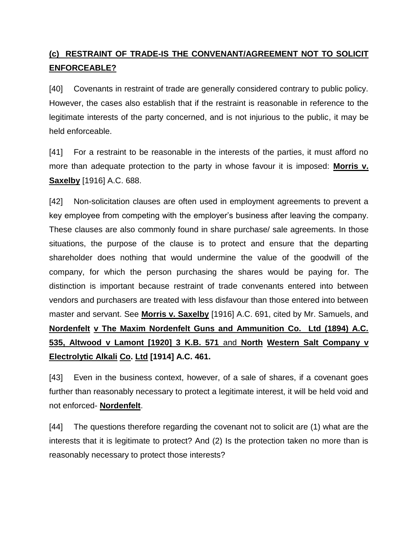## **(c) RESTRAINT OF TRADE-IS THE CONVENANT/AGREEMENT NOT TO SOLICIT ENFORCEABLE?**

[40] Covenants in restraint of trade are generally considered contrary to public policy. However, the cases also establish that if the restraint is reasonable in reference to the legitimate interests of the party concerned, and is not injurious to the public, it may be held enforceable.

[41] For a restraint to be reasonable in the interests of the parties, it must afford no more than adequate protection to the party in whose favour it is imposed: **Morris v. Saxelby** [1916] A.C. 688.

[42] Non-solicitation clauses are often used in employment agreements to prevent a key employee from competing with the employer's business after leaving the company. These clauses are also commonly found in share purchase/ sale agreements. In those situations, the purpose of the clause is to protect and ensure that the departing shareholder does nothing that would undermine the value of the goodwill of the company, for which the person purchasing the shares would be paying for. The distinction is important because restraint of trade convenants entered into between vendors and purchasers are treated with less disfavour than those entered into between master and servant. See **Morris v. Saxelby** [1916] A.C. 691, cited by Mr. Samuels, and **Nordenfelt v The Maxim Nordenfelt Guns and Ammunition Co. Ltd (1894) A.C. 535, Altwood v Lamont [1920] 3 K.B. 571** and **North Western Salt Company v Electrolytic Alkali Co. Ltd [1914] A.C. 461.**

[43] Even in the business context, however, of a sale of shares, if a covenant goes further than reasonably necessary to protect a legitimate interest, it will be held void and not enforced- **Nordenfelt**.

[44] The questions therefore regarding the covenant not to solicit are (1) what are the interests that it is legitimate to protect? And (2) Is the protection taken no more than is reasonably necessary to protect those interests?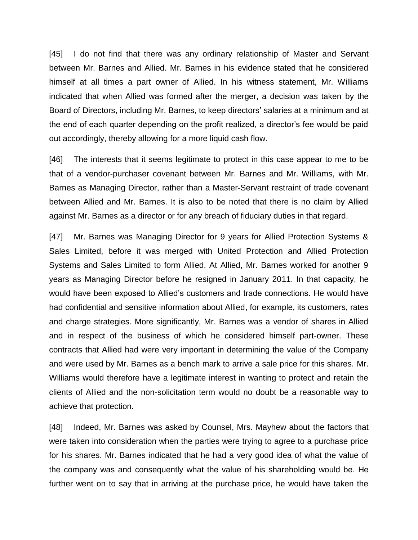[45] I do not find that there was any ordinary relationship of Master and Servant between Mr. Barnes and Allied. Mr. Barnes in his evidence stated that he considered himself at all times a part owner of Allied. In his witness statement, Mr. Williams indicated that when Allied was formed after the merger, a decision was taken by the Board of Directors, including Mr. Barnes, to keep directors' salaries at a minimum and at the end of each quarter depending on the profit realized, a director's fee would be paid out accordingly, thereby allowing for a more liquid cash flow.

[46] The interests that it seems legitimate to protect in this case appear to me to be that of a vendor-purchaser covenant between Mr. Barnes and Mr. Williams, with Mr. Barnes as Managing Director, rather than a Master-Servant restraint of trade covenant between Allied and Mr. Barnes. It is also to be noted that there is no claim by Allied against Mr. Barnes as a director or for any breach of fiduciary duties in that regard.

[47] Mr. Barnes was Managing Director for 9 years for Allied Protection Systems & Sales Limited, before it was merged with United Protection and Allied Protection Systems and Sales Limited to form Allied. At Allied, Mr. Barnes worked for another 9 years as Managing Director before he resigned in January 2011. In that capacity, he would have been exposed to Allied's customers and trade connections. He would have had confidential and sensitive information about Allied, for example, its customers, rates and charge strategies. More significantly, Mr. Barnes was a vendor of shares in Allied and in respect of the business of which he considered himself part-owner. These contracts that Allied had were very important in determining the value of the Company and were used by Mr. Barnes as a bench mark to arrive a sale price for this shares. Mr. Williams would therefore have a legitimate interest in wanting to protect and retain the clients of Allied and the non-solicitation term would no doubt be a reasonable way to achieve that protection.

[48] Indeed, Mr. Barnes was asked by Counsel, Mrs. Mayhew about the factors that were taken into consideration when the parties were trying to agree to a purchase price for his shares. Mr. Barnes indicated that he had a very good idea of what the value of the company was and consequently what the value of his shareholding would be. He further went on to say that in arriving at the purchase price, he would have taken the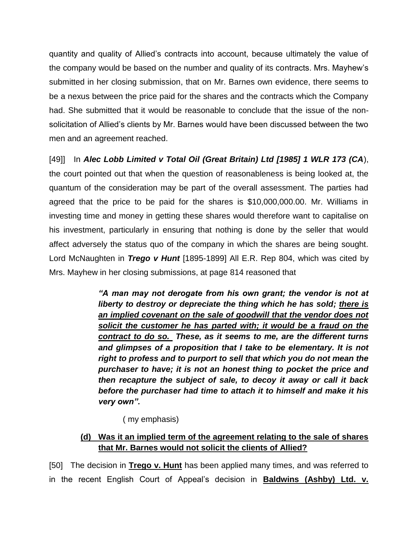quantity and quality of Allied's contracts into account, because ultimately the value of the company would be based on the number and quality of its contracts. Mrs. Mayhew's submitted in her closing submission, that on Mr. Barnes own evidence, there seems to be a nexus between the price paid for the shares and the contracts which the Company had. She submitted that it would be reasonable to conclude that the issue of the nonsolicitation of Allied's clients by Mr. Barnes would have been discussed between the two men and an agreement reached.

[49]] In *Alec Lobb Limited v Total Oil (Great Britain) Ltd [1985] 1 WLR 173 (CA*), the court pointed out that when the question of reasonableness is being looked at, the quantum of the consideration may be part of the overall assessment. The parties had agreed that the price to be paid for the shares is \$10,000,000.00. Mr. Williams in investing time and money in getting these shares would therefore want to capitalise on his investment, particularly in ensuring that nothing is done by the seller that would affect adversely the status quo of the company in which the shares are being sought. Lord McNaughten in *Trego v Hunt* [1895-1899] All E.R. Rep 804, which was cited by Mrs. Mayhew in her closing submissions, at page 814 reasoned that

> *"A man may not derogate from his own grant; the vendor is not at liberty to destroy or depreciate the thing which he has sold; there is an implied covenant on the sale of goodwill that the vendor does not solicit the customer he has parted with; it would be a fraud on the contract to do so. These, as it seems to me, are the different turns and glimpses of a proposition that I take to be elementary. It is not right to profess and to purport to sell that which you do not mean the purchaser to have; it is not an honest thing to pocket the price and then recapture the subject of sale, to decoy it away or call it back before the purchaser had time to attach it to himself and make it his very own".*

( my emphasis)

### **(d) Was it an implied term of the agreement relating to the sale of shares that Mr. Barnes would not solicit the clients of Allied?**

[50] The decision in **Trego v. Hunt** has been applied many times, and was referred to in the recent English Court of Appeal's decision in **Baldwins (Ashby) Ltd. v.**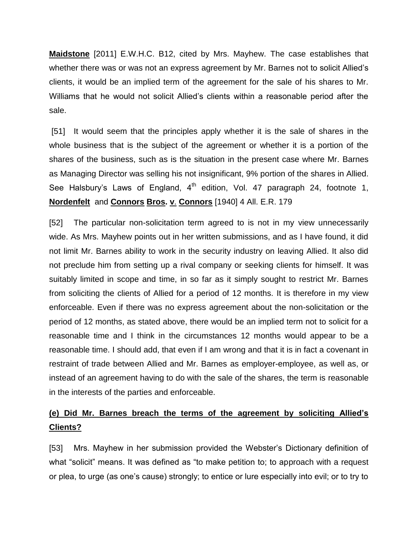**Maidstone** [2011] E.W.H.C. B12, cited by Mrs. Mayhew. The case establishes that whether there was or was not an express agreement by Mr. Barnes not to solicit Allied's clients, it would be an implied term of the agreement for the sale of his shares to Mr. Williams that he would not solicit Allied's clients within a reasonable period after the sale.

[51] It would seem that the principles apply whether it is the sale of shares in the whole business that is the subject of the agreement or whether it is a portion of the shares of the business, such as is the situation in the present case where Mr. Barnes as Managing Director was selling his not insignificant, 9% portion of the shares in Allied. See Halsbury's Laws of England,  $4<sup>th</sup>$  edition, Vol. 47 paragraph 24, footnote 1, **Nordenfelt** and **Connors Bros. v**. **Connors** [1940] 4 All. E.R. 179

[52] The particular non-solicitation term agreed to is not in my view unnecessarily wide. As Mrs. Mayhew points out in her written submissions, and as I have found, it did not limit Mr. Barnes ability to work in the security industry on leaving Allied. It also did not preclude him from setting up a rival company or seeking clients for himself. It was suitably limited in scope and time, in so far as it simply sought to restrict Mr. Barnes from soliciting the clients of Allied for a period of 12 months. It is therefore in my view enforceable. Even if there was no express agreement about the non-solicitation or the period of 12 months, as stated above, there would be an implied term not to solicit for a reasonable time and I think in the circumstances 12 months would appear to be a reasonable time. I should add, that even if I am wrong and that it is in fact a covenant in restraint of trade between Allied and Mr. Barnes as employer-employee, as well as, or instead of an agreement having to do with the sale of the shares, the term is reasonable in the interests of the parties and enforceable.

## **(e) Did Mr. Barnes breach the terms of the agreement by soliciting Allied's Clients?**

[53] Mrs. Mayhew in her submission provided the Webster's Dictionary definition of what "solicit" means. It was defined as "to make petition to; to approach with a request or plea, to urge (as one's cause) strongly; to entice or lure especially into evil; or to try to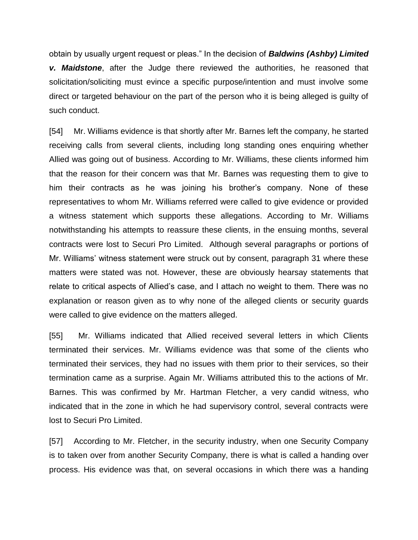obtain by usually urgent request or pleas." In the decision of *Baldwins (Ashby) Limited v. Maidstone*, after the Judge there reviewed the authorities, he reasoned that solicitation/soliciting must evince a specific purpose/intention and must involve some direct or targeted behaviour on the part of the person who it is being alleged is guilty of such conduct.

[54] Mr. Williams evidence is that shortly after Mr. Barnes left the company, he started receiving calls from several clients, including long standing ones enquiring whether Allied was going out of business. According to Mr. Williams, these clients informed him that the reason for their concern was that Mr. Barnes was requesting them to give to him their contracts as he was joining his brother's company. None of these representatives to whom Mr. Williams referred were called to give evidence or provided a witness statement which supports these allegations. According to Mr. Williams notwithstanding his attempts to reassure these clients, in the ensuing months, several contracts were lost to Securi Pro Limited. Although several paragraphs or portions of Mr. Williams' witness statement were struck out by consent, paragraph 31 where these matters were stated was not. However, these are obviously hearsay statements that relate to critical aspects of Allied's case, and I attach no weight to them. There was no explanation or reason given as to why none of the alleged clients or security guards were called to give evidence on the matters alleged.

[55] Mr. Williams indicated that Allied received several letters in which Clients terminated their services. Mr. Williams evidence was that some of the clients who terminated their services, they had no issues with them prior to their services, so their termination came as a surprise. Again Mr. Williams attributed this to the actions of Mr. Barnes. This was confirmed by Mr. Hartman Fletcher, a very candid witness, who indicated that in the zone in which he had supervisory control, several contracts were lost to Securi Pro Limited.

[57] According to Mr. Fletcher, in the security industry, when one Security Company is to taken over from another Security Company, there is what is called a handing over process. His evidence was that, on several occasions in which there was a handing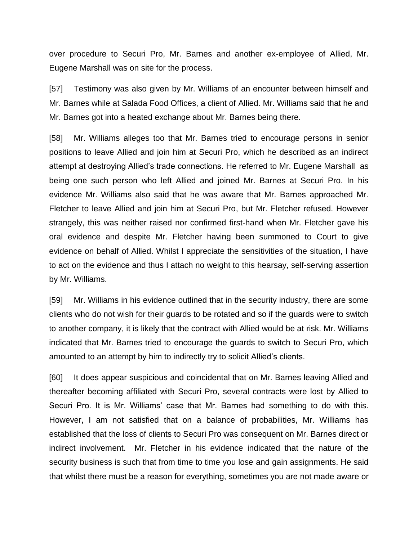over procedure to Securi Pro, Mr. Barnes and another ex-employee of Allied, Mr. Eugene Marshall was on site for the process.

[57] Testimony was also given by Mr. Williams of an encounter between himself and Mr. Barnes while at Salada Food Offices, a client of Allied. Mr. Williams said that he and Mr. Barnes got into a heated exchange about Mr. Barnes being there.

[58] Mr. Williams alleges too that Mr. Barnes tried to encourage persons in senior positions to leave Allied and join him at Securi Pro, which he described as an indirect attempt at destroying Allied's trade connections. He referred to Mr. Eugene Marshall as being one such person who left Allied and joined Mr. Barnes at Securi Pro. In his evidence Mr. Williams also said that he was aware that Mr. Barnes approached Mr. Fletcher to leave Allied and join him at Securi Pro, but Mr. Fletcher refused. However strangely, this was neither raised nor confirmed first-hand when Mr. Fletcher gave his oral evidence and despite Mr. Fletcher having been summoned to Court to give evidence on behalf of Allied. Whilst I appreciate the sensitivities of the situation, I have to act on the evidence and thus I attach no weight to this hearsay, self-serving assertion by Mr. Williams.

[59] Mr. Williams in his evidence outlined that in the security industry, there are some clients who do not wish for their guards to be rotated and so if the guards were to switch to another company, it is likely that the contract with Allied would be at risk. Mr. Williams indicated that Mr. Barnes tried to encourage the guards to switch to Securi Pro, which amounted to an attempt by him to indirectly try to solicit Allied's clients.

[60] It does appear suspicious and coincidental that on Mr. Barnes leaving Allied and thereafter becoming affiliated with Securi Pro, several contracts were lost by Allied to Securi Pro. It is Mr. Williams' case that Mr. Barnes had something to do with this. However, I am not satisfied that on a balance of probabilities, Mr. Williams has established that the loss of clients to Securi Pro was consequent on Mr. Barnes direct or indirect involvement. Mr. Fletcher in his evidence indicated that the nature of the security business is such that from time to time you lose and gain assignments. He said that whilst there must be a reason for everything, sometimes you are not made aware or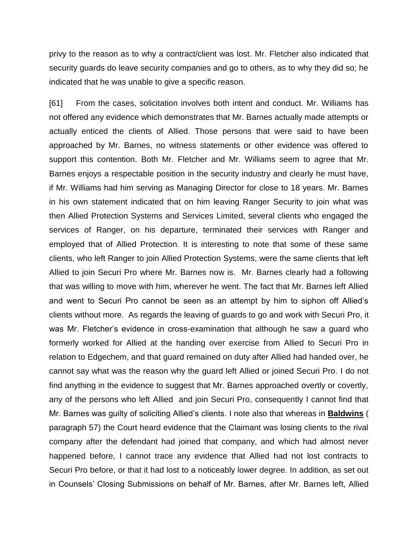privy to the reason as to why a contract/client was lost. Mr. Fletcher also indicated that security guards do leave security companies and go to others, as to why they did so; he indicated that he was unable to give a specific reason.

[61] From the cases, solicitation involves both intent and conduct. Mr. Williams has not offered any evidence which demonstrates that Mr. Barnes actually made attempts or actually enticed the clients of Allied. Those persons that were said to have been approached by Mr. Barnes, no witness statements or other evidence was offered to support this contention. Both Mr. Fletcher and Mr. Williams seem to agree that Mr. Barnes enjoys a respectable position in the security industry and clearly he must have, if Mr. Williams had him serving as Managing Director for close to 18 years. Mr. Barnes in his own statement indicated that on him leaving Ranger Security to join what was then Allied Protection Systems and Services Limited, several clients who engaged the services of Ranger, on his departure, terminated their services with Ranger and employed that of Allied Protection. It is interesting to note that some of these same clients, who left Ranger to join Allied Protection Systems, were the same clients that left Allied to join Securi Pro where Mr. Barnes now is. Mr. Barnes clearly had a following that was willing to move with him, wherever he went. The fact that Mr. Barnes left Allied and went to Securi Pro cannot be seen as an attempt by him to siphon off Allied's clients without more. As regards the leaving of guards to go and work with Securi Pro, it was Mr. Fletcher's evidence in cross-examination that although he saw a guard who formerly worked for Allied at the handing over exercise from Allied to Securi Pro in relation to Edgechem, and that guard remained on duty after Allied had handed over, he cannot say what was the reason why the guard left Allied or joined Securi Pro. I do not find anything in the evidence to suggest that Mr. Barnes approached overtly or covertly, any of the persons who left Allied and join Securi Pro, consequently I cannot find that Mr. Barnes was guilty of soliciting Allied's clients. I note also that whereas in **Baldwins** ( paragraph 57) the Court heard evidence that the Claimant was losing clients to the rival company after the defendant had joined that company, and which had almost never happened before, I cannot trace any evidence that Allied had not lost contracts to Securi Pro before, or that it had lost to a noticeably lower degree. In addition, as set out in Counsels' Closing Submissions on behalf of Mr. Barnes, after Mr. Barnes left, Allied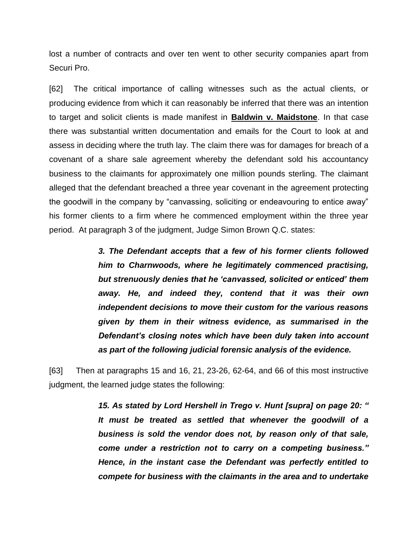lost a number of contracts and over ten went to other security companies apart from Securi Pro.

[62] The critical importance of calling witnesses such as the actual clients, or producing evidence from which it can reasonably be inferred that there was an intention to target and solicit clients is made manifest in **Baldwin v. Maidstone**. In that case there was substantial written documentation and emails for the Court to look at and assess in deciding where the truth lay. The claim there was for damages for breach of a covenant of a share sale agreement whereby the defendant sold his accountancy business to the claimants for approximately one million pounds sterling. The claimant alleged that the defendant breached a three year covenant in the agreement protecting the goodwill in the company by "canvassing, soliciting or endeavouring to entice away" his former clients to a firm where he commenced employment within the three year period. At paragraph 3 of the judgment, Judge Simon Brown Q.C. states:

> *3. The Defendant accepts that a few of his former clients followed him to Charnwoods, where he legitimately commenced practising, but strenuously denies that he 'canvassed, solicited or enticed' them away. He, and indeed they, contend that it was their own independent decisions to move their custom for the various reasons given by them in their witness evidence, as summarised in the Defendant's closing notes which have been duly taken into account as part of the following judicial forensic analysis of the evidence.*

[63] Then at paragraphs 15 and 16, 21, 23-26, 62-64, and 66 of this most instructive judgment, the learned judge states the following:

> *15. As stated by Lord Hershell in Trego v. Hunt [supra] on page 20: " It must be treated as settled that whenever the goodwill of a business is sold the vendor does not, by reason only of that sale, come under a restriction not to carry on a competing business." Hence, in the instant case the Defendant was perfectly entitled to compete for business with the claimants in the area and to undertake*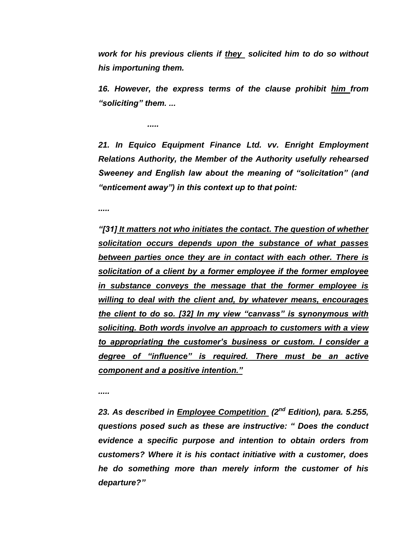*work for his previous clients if they solicited him to do so without his importuning them.*

*16. However, the express terms of the clause prohibit him from "soliciting" them. ...*

*.....*

21. In Equico Equipment Finance Ltd. vv. Enright Employment *Relations Authority, the Member of the Authority usefully rehearsed Sweeney and English law about the meaning of "solicitation" (and "enticement away") in this context up to that point:*

*.....*

*"[31] It matters not who initiates the contact. The question of whether solicitation occurs depends upon the substance of what passes between parties once they are in contact with each other. There is solicitation of a client by a former employee if the former employee in substance conveys the message that the former employee is willing to deal with the client and, by whatever means, encourages the client to do so. [32] In my view "canvass" is synonymous with soliciting. Both words involve an approach to customers with a view to appropriating the customer's business or custom. I consider a degree of "influence" is required. There must be an active component and a positive intention."* 

*.....*

*23. As described in Employee Competition (2nd Edition), para. 5.255, questions posed such as these are instructive: " Does the conduct evidence a specific purpose and intention to obtain orders from customers? Where it is his contact initiative with a customer, does he do something more than merely inform the customer of his departure?"*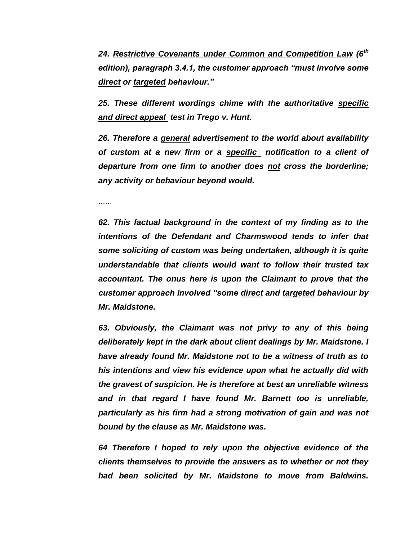*24. Restrictive Covenants under Common and Competition Law (6th edition), paragraph 3.4.1, the customer approach "must involve some direct or targeted behaviour."*

*25. These different wordings chime with the authoritative specific and direct appeal test in Trego v. Hunt.*

*26. Therefore a general advertisement to the world about availability of custom at a new firm or a specific notification to a client of departure from one firm to another does not cross the borderline; any activity or behaviour beyond would.*

......

*62. This factual background in the context of my finding as to the intentions of the Defendant and Charmswood tends to infer that some soliciting of custom was being undertaken, although it is quite understandable that clients would want to follow their trusted tax accountant. The onus here is upon the Claimant to prove that the customer approach involved "some direct and targeted behaviour by Mr. Maidstone.* 

*63. Obviously, the Claimant was not privy to any of this being deliberately kept in the dark about client dealings by Mr. Maidstone. I have already found Mr. Maidstone not to be a witness of truth as to his intentions and view his evidence upon what he actually did with the gravest of suspicion. He is therefore at best an unreliable witness and in that regard I have found Mr. Barnett too is unreliable, particularly as his firm had a strong motivation of gain and was not bound by the clause as Mr. Maidstone was.*

*64 Therefore I hoped to rely upon the objective evidence of the clients themselves to provide the answers as to whether or not they had been solicited by Mr. Maidstone to move from Baldwins.*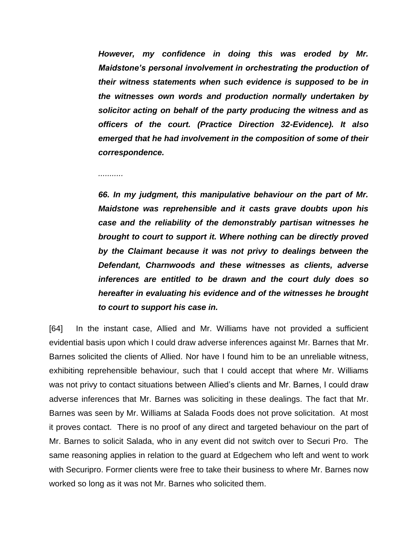*However, my confidence in doing this was eroded by Mr. Maidstone's personal involvement in orchestrating the production of their witness statements when such evidence is supposed to be in the witnesses own words and production normally undertaken by solicitor acting on behalf of the party producing the witness and as officers of the court. (Practice Direction 32-Evidence). It also emerged that he had involvement in the composition of some of their correspondence.*

*...........*

*66. In my judgment, this manipulative behaviour on the part of Mr. Maidstone was reprehensible and it casts grave doubts upon his case and the reliability of the demonstrably partisan witnesses he brought to court to support it. Where nothing can be directly proved by the Claimant because it was not privy to dealings between the Defendant, Charnwoods and these witnesses as clients, adverse inferences are entitled to be drawn and the court duly does so hereafter in evaluating his evidence and of the witnesses he brought to court to support his case in.*

[64] In the instant case, Allied and Mr. Williams have not provided a sufficient evidential basis upon which I could draw adverse inferences against Mr. Barnes that Mr. Barnes solicited the clients of Allied. Nor have I found him to be an unreliable witness, exhibiting reprehensible behaviour, such that I could accept that where Mr. Williams was not privy to contact situations between Allied's clients and Mr. Barnes, I could draw adverse inferences that Mr. Barnes was soliciting in these dealings. The fact that Mr. Barnes was seen by Mr. Williams at Salada Foods does not prove solicitation. At most it proves contact. There is no proof of any direct and targeted behaviour on the part of Mr. Barnes to solicit Salada, who in any event did not switch over to Securi Pro. The same reasoning applies in relation to the guard at Edgechem who left and went to work with Securipro. Former clients were free to take their business to where Mr. Barnes now worked so long as it was not Mr. Barnes who solicited them.